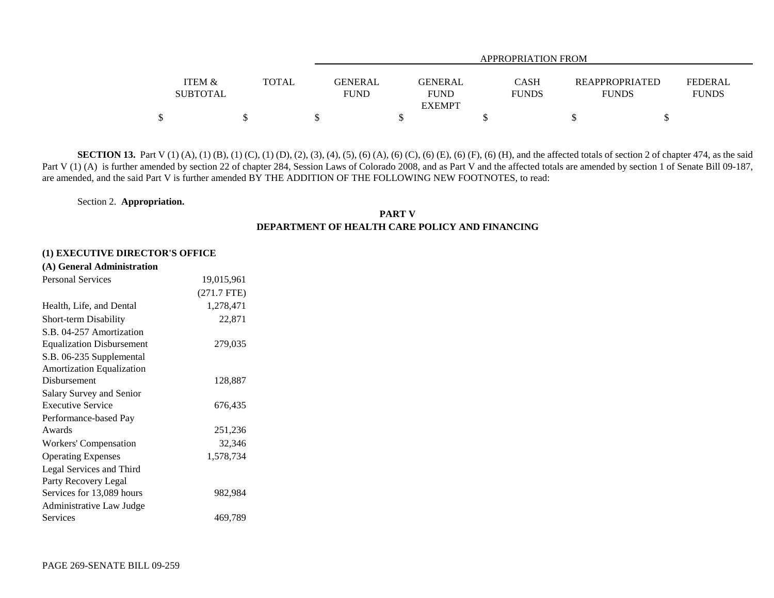|                           |              |                        | <b>APPROPRIATION FROM</b>                      |                             |                                       |                                |  |  |  |  |  |  |  |
|---------------------------|--------------|------------------------|------------------------------------------------|-----------------------------|---------------------------------------|--------------------------------|--|--|--|--|--|--|--|
| ITEM &<br><b>SUBTOTAL</b> | <b>TOTAL</b> | GENERAL<br><b>FUND</b> | <b>GENERAL</b><br><b>FUND</b><br><b>EXEMPT</b> | <b>CASH</b><br><b>FUNDS</b> | <b>REAPPROPRIATED</b><br><b>FUNDS</b> | <b>FEDERAL</b><br><b>FUNDS</b> |  |  |  |  |  |  |  |
|                           |              |                        |                                                |                             |                                       |                                |  |  |  |  |  |  |  |

**SECTION 13.** Part V (1) (A), (1) (B), (1) (C), (1) (D), (2), (3), (4), (5), (6) (A), (6) (C), (6) (E), (6) (F), (6) (H), and the affected totals of section 2 of chapter 474, as the said Part V (1) (A) is further amended by section 22 of chapter 284, Session Laws of Colorado 2008, and as Part V and the affected totals are amended by section 1 of Senate Bill 09-187, are amended, and the said Part V is further amended BY THE ADDITION OF THE FOLLOWING NEW FOOTNOTES, to read:

Section 2. **Appropriation.**

### **PART VDEPARTMENT OF HEALTH CARE POLICY AND FINANCING**

#### **(1) EXECUTIVE DIRECTOR'S OFFICE**

| <b>Personal Services</b>         | 19,015,961    |
|----------------------------------|---------------|
|                                  | $(271.7$ FTE) |
| Health, Life, and Dental         | 1,278,471     |
| <b>Short-term Disability</b>     | 22,871        |
| S.B. 04-257 Amortization         |               |
| <b>Equalization Disbursement</b> | 279,035       |
| S.B. 06-235 Supplemental         |               |
| <b>Amortization Equalization</b> |               |
| Disbursement                     | 128,887       |
| Salary Survey and Senior         |               |
| <b>Executive Service</b>         | 676,435       |
| Performance-based Pay            |               |
| Awards                           | 251,236       |
| Workers' Compensation            | 32,346        |
| <b>Operating Expenses</b>        | 1,578,734     |
| Legal Services and Third         |               |
| Party Recovery Legal             |               |
| Services for 13,089 hours        | 982,984       |
| Administrative Law Judge         |               |
| Services                         | 469,789       |
|                                  |               |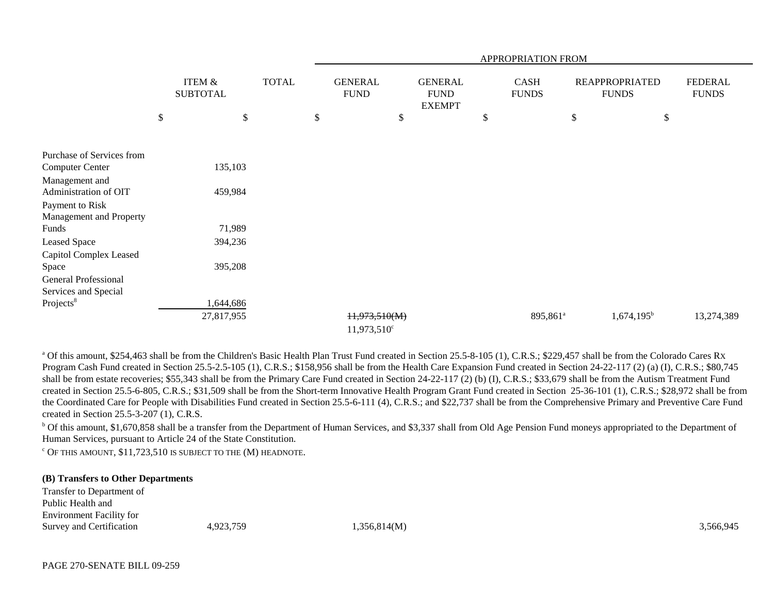|                             |                                      |              |                               |                                                | APPROPRIATION FROM   |      |                                       |                                |
|-----------------------------|--------------------------------------|--------------|-------------------------------|------------------------------------------------|----------------------|------|---------------------------------------|--------------------------------|
|                             | <b>ITEM &amp;</b><br><b>SUBTOTAL</b> | <b>TOTAL</b> | <b>GENERAL</b><br><b>FUND</b> | <b>GENERAL</b><br><b>FUND</b><br><b>EXEMPT</b> | CASH<br><b>FUNDS</b> |      | <b>REAPPROPRIATED</b><br><b>FUNDS</b> | <b>FEDERAL</b><br><b>FUNDS</b> |
|                             | \$<br>\$                             |              | \$                            | \$                                             | \$                   | $\$$ | \$                                    |                                |
|                             |                                      |              |                               |                                                |                      |      |                                       |                                |
| Purchase of Services from   |                                      |              |                               |                                                |                      |      |                                       |                                |
| <b>Computer Center</b>      | 135,103                              |              |                               |                                                |                      |      |                                       |                                |
| Management and              |                                      |              |                               |                                                |                      |      |                                       |                                |
| Administration of OIT       | 459,984                              |              |                               |                                                |                      |      |                                       |                                |
| Payment to Risk             |                                      |              |                               |                                                |                      |      |                                       |                                |
| Management and Property     |                                      |              |                               |                                                |                      |      |                                       |                                |
| Funds                       | 71,989                               |              |                               |                                                |                      |      |                                       |                                |
| Leased Space                | 394,236                              |              |                               |                                                |                      |      |                                       |                                |
| Capitol Complex Leased      |                                      |              |                               |                                                |                      |      |                                       |                                |
| Space                       | 395,208                              |              |                               |                                                |                      |      |                                       |                                |
| <b>General Professional</b> |                                      |              |                               |                                                |                      |      |                                       |                                |
| Services and Special        |                                      |              |                               |                                                |                      |      |                                       |                                |
| Projects <sup>8</sup>       | 1,644,686                            |              |                               |                                                |                      |      |                                       |                                |
|                             | 27,817,955                           |              | 11,973,510(M)                 |                                                | 895,861 <sup>a</sup> |      | $1,674,195^b$                         | 13,274,389                     |
|                             |                                      |              | $11,973,510^{\circ}$          |                                                |                      |      |                                       |                                |

<sup>a</sup> Of this amount, \$254,463 shall be from the Children's Basic Health Plan Trust Fund created in Section 25.5-8-105 (1), C.R.S.; \$229,457 shall be from the Colorado Cares Rx Program Cash Fund created in Section 25.5-2.5-105 (1), C.R.S.; \$158,956 shall be from the Health Care Expansion Fund created in Section 24-22-117 (2) (a) (I), C.R.S.; \$80,745 shall be from estate recoveries; \$55,343 shall be from the Primary Care Fund created in Section 24-22-117 (2) (b) (I), C.R.S.; \$33,679 shall be from the Autism Treatment Fund created in Section 25.5-6-805, C.R.S.; \$31,509 shall be from the Short-term Innovative Health Program Grant Fund created in Section 25-36-101 (1), C.R.S.; \$28,972 shall be from the Coordinated Care for People with Disabilities Fund created in Section 25.5-6-111 (4), C.R.S.; and \$22,737 shall be from the Comprehensive Primary and Preventive Care Fund created in Section 25.5-3-207 (1), C.R.S.

<sup>b</sup> Of this amount, \$1,670,858 shall be a transfer from the Department of Human Services, and \$3,337 shall from Old Age Pension Fund moneys appropriated to the Department of Human Services, pursuant to Article 24 of the State Constitution.

 $c$  Of this amount, \$11,723,510 is subject to the  $(M)$  headnote.

#### **(B) Transfers to Other Departments**

Transfer to Department of Public Health andEnvironment Facility for Survey and Certification  $4,923,759$   $1,356,814(M)$   $3,566,945$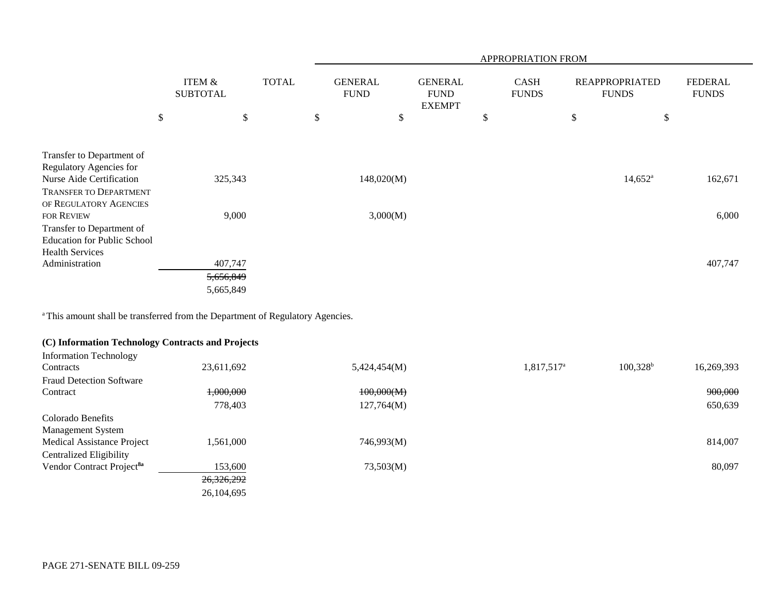|                                                                                                                                             |                                      |              |                               |                                                |               | APPROPRIATION FROM          |                                       |                                |
|---------------------------------------------------------------------------------------------------------------------------------------------|--------------------------------------|--------------|-------------------------------|------------------------------------------------|---------------|-----------------------------|---------------------------------------|--------------------------------|
|                                                                                                                                             | <b>ITEM &amp;</b><br><b>SUBTOTAL</b> | <b>TOTAL</b> | <b>GENERAL</b><br><b>FUND</b> | <b>GENERAL</b><br><b>FUND</b><br><b>EXEMPT</b> |               | <b>CASH</b><br><b>FUNDS</b> | <b>REAPPROPRIATED</b><br><b>FUNDS</b> | <b>FEDERAL</b><br><b>FUNDS</b> |
|                                                                                                                                             | \$<br>\$                             |              | \$<br>\$                      |                                                | $\mathcal{S}$ |                             | \$<br>$\boldsymbol{\mathsf{S}}$       |                                |
| Transfer to Department of<br>Regulatory Agencies for<br>Nurse Aide Certification<br><b>TRANSFER TO DEPARTMENT</b><br>OF REGULATORY AGENCIES | 325,343                              |              | 148,020(M)                    |                                                |               |                             | $14,652^{\circ}$                      | 162,671                        |
| <b>FOR REVIEW</b><br>Transfer to Department of<br><b>Education for Public School</b>                                                        | 9,000                                |              | 3,000(M)                      |                                                |               |                             |                                       | 6,000                          |
| <b>Health Services</b><br>Administration                                                                                                    | 407,747<br>5,656,849<br>5,665,849    |              |                               |                                                |               |                             |                                       | 407,747                        |

<sup>a</sup> This amount shall be transferred from the Department of Regulatory Agencies.

# **(C) Information Technology Contracts and Projects**

| 23,611,692 | 5,424,454(M) | 1,817,517 <sup>a</sup> | $100,328^{\rm b}$ | 16,269,393 |
|------------|--------------|------------------------|-------------------|------------|
|            |              |                        |                   |            |
| 1,000,000  | 100,000(M)   |                        |                   | 900,000    |
| 778,403    | 127,764(M)   |                        |                   | 650,639    |
|            |              |                        |                   |            |
|            |              |                        |                   |            |
| 1,561,000  | 746,993(M)   |                        |                   | 814,007    |
|            |              |                        |                   |            |
| 153,600    | 73,503(M)    |                        |                   | 80,097     |
| 26,326,292 |              |                        |                   |            |
| 26,104,695 |              |                        |                   |            |
|            |              |                        |                   |            |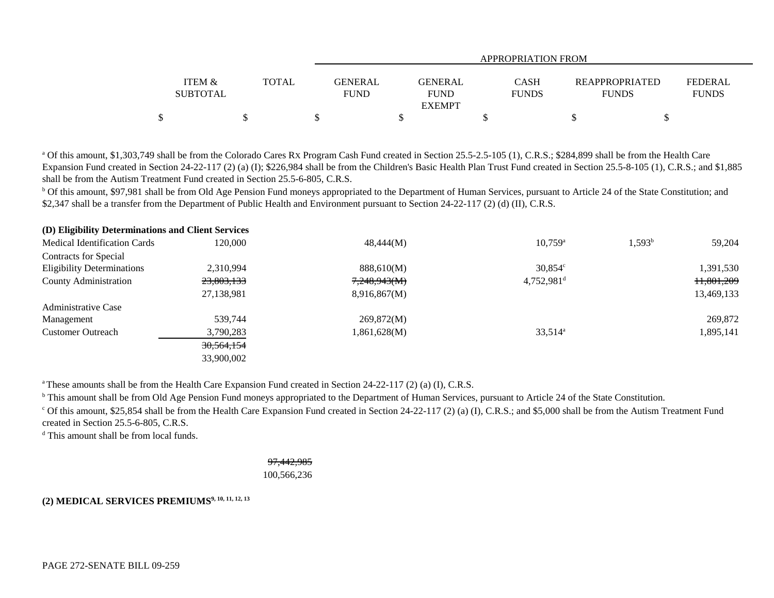|                                      |              | APPROPRIATION FROM                               |                             |                                       |                         |
|--------------------------------------|--------------|--------------------------------------------------|-----------------------------|---------------------------------------|-------------------------|
| <b>ITEM &amp;</b><br><b>SUBTOTAL</b> | <b>TOTAL</b> | GENERAL<br>GENERAL<br><b>FUND</b><br><b>FUND</b> | <b>CASH</b><br><b>FUNDS</b> | <b>REAPPROPRIATED</b><br><b>FUNDS</b> | FEDERAL<br><b>FUNDS</b> |
|                                      |              | <b>EXEMPT</b>                                    |                             |                                       |                         |
|                                      |              |                                                  |                             |                                       |                         |

<sup>a</sup> Of this amount, \$1,303,749 shall be from the Colorado Cares Rx Program Cash Fund created in Section 25.5-2.5-105 (1), C.R.S.; \$284,899 shall be from the Health Care Expansion Fund created in Section 24-22-117 (2) (a) (I); \$226,984 shall be from the Children's Basic Health Plan Trust Fund created in Section 25.5-8-105 (1), C.R.S.; and \$1,885 shall be from the Autism Treatment Fund created in Section 25.5-6-805, C.R.S.

<sup>b</sup> Of this amount, \$97,981 shall be from Old Age Pension Fund moneys appropriated to the Department of Human Services, pursuant to Article 24 of the State Constitution; and \$2,347 shall be a transfer from the Department of Public Health and Environment pursuant to Section 24-22-117 (2) (d) (II), C.R.S.

| (D) Eligibility Determinations and Client Services |              |              |                          |                 |            |
|----------------------------------------------------|--------------|--------------|--------------------------|-----------------|------------|
| <b>Medical Identification Cards</b>                | 120.000      | 48,444(M)    | $10.759^{\circ}$         | $1.593^{\rm b}$ | 59,204     |
| <b>Contracts for Special</b>                       |              |              |                          |                 |            |
| <b>Eligibility Determinations</b>                  | 2,310,994    | 888,610(M)   | $30,854^{\circ}$         |                 | 1,391,530  |
| County Administration                              | 23,803,133   | 7,248,943(M) | $4,752,981$ <sup>d</sup> |                 | 11,801,209 |
|                                                    | 27,138,981   | 8,916,867(M) |                          |                 | 13,469,133 |
| <b>Administrative Case</b>                         |              |              |                          |                 |            |
| Management                                         | 539,744      | 269,872(M)   |                          |                 | 269,872    |
| <b>Customer Outreach</b>                           | 3,790,283    | 0.861,628(M) | $33,514^{\circ}$         |                 | 1,895,141  |
|                                                    | 30, 564, 154 |              |                          |                 |            |
|                                                    | 33,900,002   |              |                          |                 |            |

<sup>a</sup> These amounts shall be from the Health Care Expansion Fund created in Section 24-22-117 (2) (a) (I), C.R.S.

<sup>b</sup> This amount shall be from Old Age Pension Fund moneys appropriated to the Department of Human Services, pursuant to Article 24 of the State Constitution.

 $\degree$  Of this amount, \$25,854 shall be from the Health Care Expansion Fund created in Section 24-22-117 (2) (a) (I), C.R.S.; and \$5,000 shall be from the Autism Treatment Fund created in Section 25.5-6-805, C.R.S.

<sup>d</sup> This amount shall be from local funds.

97,442,985 100,566,236

## **(2) MEDICAL SERVICES PREMIUMS9, 10, 11, 12, 13**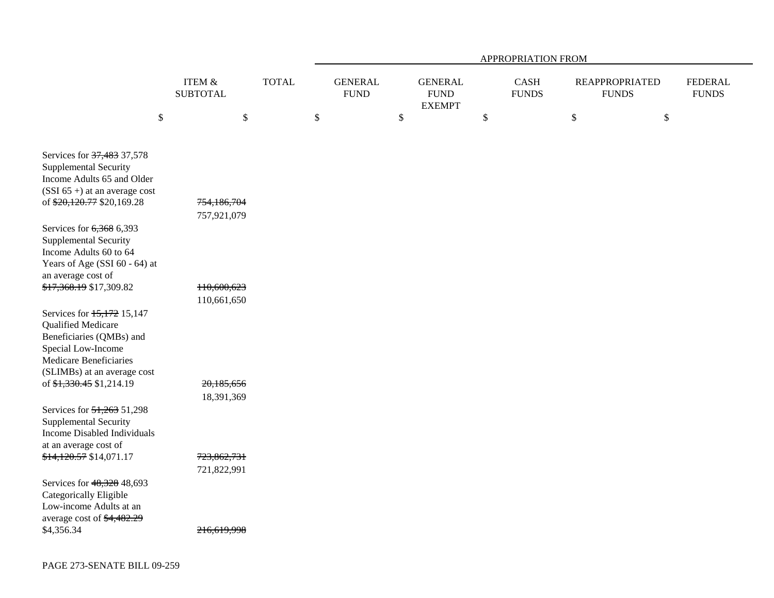|                                                                                                                                                             |                              |              | APPROPRIATION FROM |                               |    |                                                |      |                                       |      |                                       |                                |
|-------------------------------------------------------------------------------------------------------------------------------------------------------------|------------------------------|--------------|--------------------|-------------------------------|----|------------------------------------------------|------|---------------------------------------|------|---------------------------------------|--------------------------------|
|                                                                                                                                                             | ITEM $\&$<br><b>SUBTOTAL</b> | <b>TOTAL</b> |                    | <b>GENERAL</b><br><b>FUND</b> |    | <b>GENERAL</b><br><b>FUND</b><br><b>EXEMPT</b> |      | $\operatorname{CASH}$<br><b>FUNDS</b> |      | <b>REAPPROPRIATED</b><br><b>FUNDS</b> | <b>FEDERAL</b><br><b>FUNDS</b> |
| $\$$                                                                                                                                                        | $\$$                         |              | \$                 |                               | \$ |                                                | $\$$ |                                       | $\$$ | $\$$                                  |                                |
| Services for 37,483 37,578<br><b>Supplemental Security</b><br>Income Adults 65 and Older<br>$(SSI 65+)$ at an average cost                                  |                              |              |                    |                               |    |                                                |      |                                       |      |                                       |                                |
| of \$20,120.77 \$20,169.28                                                                                                                                  | 754,186,704<br>757,921,079   |              |                    |                               |    |                                                |      |                                       |      |                                       |                                |
| Services for 6,368 6,393<br>Supplemental Security<br>Income Adults 60 to 64<br>Years of Age (SSI 60 - 64) at<br>an average cost of                          |                              |              |                    |                               |    |                                                |      |                                       |      |                                       |                                |
| \$17,368.19 \$17,309.82                                                                                                                                     | 110,600,623<br>110,661,650   |              |                    |                               |    |                                                |      |                                       |      |                                       |                                |
| Services for 15,172 15,147<br>Qualified Medicare<br>Beneficiaries (QMBs) and<br>Special Low-Income<br>Medicare Beneficiaries<br>(SLIMBs) at an average cost |                              |              |                    |                               |    |                                                |      |                                       |      |                                       |                                |
| of \$1,330.45 \$1,214.19                                                                                                                                    | 20,185,656<br>18,391,369     |              |                    |                               |    |                                                |      |                                       |      |                                       |                                |
| Services for 51,263 51,298<br>Supplemental Security<br>Income Disabled Individuals<br>at an average cost of                                                 |                              |              |                    |                               |    |                                                |      |                                       |      |                                       |                                |
| \$14,120.57 \$14,071.17                                                                                                                                     | 723,862,731<br>721,822,991   |              |                    |                               |    |                                                |      |                                       |      |                                       |                                |
| Services for 48,328 48,693<br>Categorically Eligible<br>Low-income Adults at an<br>average cost of \$4,482.29                                               |                              |              |                    |                               |    |                                                |      |                                       |      |                                       |                                |
| \$4,356.34                                                                                                                                                  | 216.619.998                  |              |                    |                               |    |                                                |      |                                       |      |                                       |                                |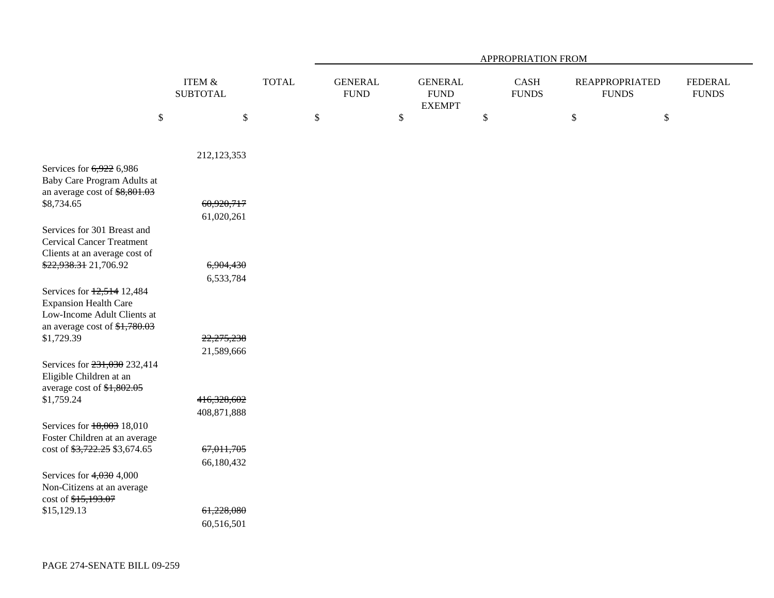|                                                                                                                             |                              |              | APPROPRIATION FROM |                               |              |                                                 |    |                      |              |                                       |                                |
|-----------------------------------------------------------------------------------------------------------------------------|------------------------------|--------------|--------------------|-------------------------------|--------------|-------------------------------------------------|----|----------------------|--------------|---------------------------------------|--------------------------------|
|                                                                                                                             | ITEM $\&$<br><b>SUBTOTAL</b> | <b>TOTAL</b> |                    | <b>GENERAL</b><br><b>FUND</b> |              | <b>GENERAL</b><br>${\rm FUND}$<br><b>EXEMPT</b> |    | CASH<br><b>FUNDS</b> |              | <b>REAPPROPRIATED</b><br><b>FUNDS</b> | <b>FEDERAL</b><br><b>FUNDS</b> |
| $\mathbb{S}$                                                                                                                | $\boldsymbol{\mathsf{S}}$    |              | $\$$               |                               | $\mathbb{S}$ |                                                 | \$ |                      | $\mathbb{S}$ | $\$$                                  |                                |
| Services for 6,922 6,986                                                                                                    | 212,123,353                  |              |                    |                               |              |                                                 |    |                      |              |                                       |                                |
| Baby Care Program Adults at<br>an average cost of \$8,801.03<br>\$8,734.65                                                  | 60,920,717                   |              |                    |                               |              |                                                 |    |                      |              |                                       |                                |
| Services for 301 Breast and<br><b>Cervical Cancer Treatment</b>                                                             | 61,020,261                   |              |                    |                               |              |                                                 |    |                      |              |                                       |                                |
| Clients at an average cost of<br>\$22,938.31 21,706.92                                                                      | 6,904,430<br>6,533,784       |              |                    |                               |              |                                                 |    |                      |              |                                       |                                |
| Services for 12,514 12,484<br><b>Expansion Health Care</b><br>Low-Income Adult Clients at<br>an average cost of $$1,780.03$ |                              |              |                    |                               |              |                                                 |    |                      |              |                                       |                                |
| \$1,729.39                                                                                                                  | 22,275,238<br>21,589,666     |              |                    |                               |              |                                                 |    |                      |              |                                       |                                |
| Services for 231,030 232,414<br>Eligible Children at an<br>average cost of \$1,802.05                                       |                              |              |                    |                               |              |                                                 |    |                      |              |                                       |                                |
| \$1,759.24                                                                                                                  | 416,328,602<br>408,871,888   |              |                    |                               |              |                                                 |    |                      |              |                                       |                                |
| Services for 18,003 18,010<br>Foster Children at an average                                                                 |                              |              |                    |                               |              |                                                 |    |                      |              |                                       |                                |
| cost of \$3,722.25 \$3,674.65                                                                                               | 67,011,705<br>66,180,432     |              |                    |                               |              |                                                 |    |                      |              |                                       |                                |
| Services for $4,030$ 4,000<br>Non-Citizens at an average<br>cost of \$15,193.07                                             |                              |              |                    |                               |              |                                                 |    |                      |              |                                       |                                |
| \$15,129.13                                                                                                                 | 61,228,080<br>60,516,501     |              |                    |                               |              |                                                 |    |                      |              |                                       |                                |
|                                                                                                                             |                              |              |                    |                               |              |                                                 |    |                      |              |                                       |                                |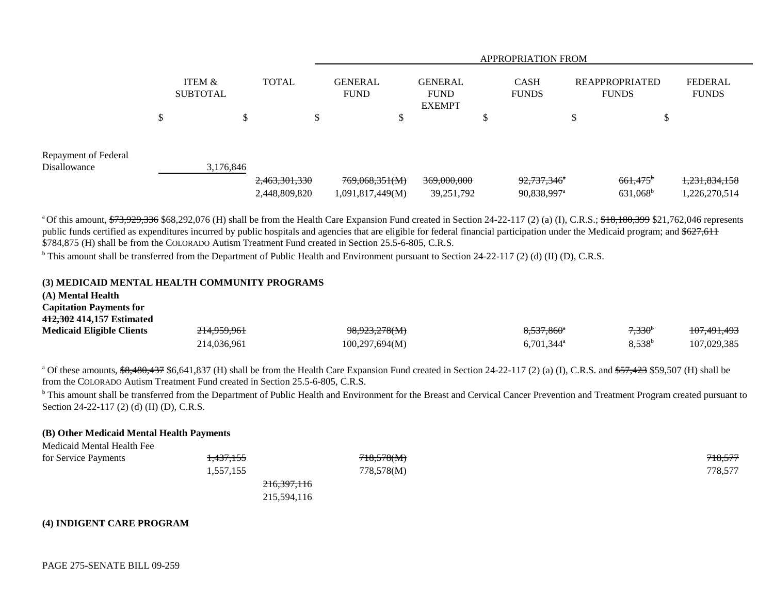|                                      |        |                           |               | <b>APPROPRIATION FROM</b> |                  |                                                |    |                             |        |                                       |                                |  |
|--------------------------------------|--------|---------------------------|---------------|---------------------------|------------------|------------------------------------------------|----|-----------------------------|--------|---------------------------------------|--------------------------------|--|
|                                      |        | ITEM &<br><b>SUBTOTAL</b> | <b>TOTAL</b>  | GENERAL<br><b>FUND</b>    |                  | <b>GENERAL</b><br><b>FUND</b><br><b>EXEMPT</b> |    | <b>CASH</b><br><b>FUNDS</b> |        | <b>REAPPROPRIATED</b><br><b>FUNDS</b> | <b>FEDERAL</b><br><b>FUNDS</b> |  |
|                                      | ⊄<br>Φ | D                         | $\mathcal{D}$ |                           | $\triangle$<br>Φ |                                                | ۰D |                             | Φ<br>Φ | Φ                                     |                                |  |
| Repayment of Federal<br>Disallowance |        | 3,176,846                 | 2,463,301,330 | 769,068,351(M)            |                  | 369,000,000                                    |    | 92,737,346 <sup>*</sup>     |        | $661,475$ <sup>b</sup>                | 1,231,834,158                  |  |
|                                      |        |                           | 2,448,809,820 | 1,091,817,449(M)          |                  | 39,251,792                                     |    | 90,838,997 <sup>a</sup>     |        | 631,068 <sup>b</sup>                  | 1,226,270,514                  |  |

<sup>a</sup> Of this amount,  $\frac{673,929,336}{160,8292,076}$  (H) shall be from the Health Care Expansion Fund created in Section 24-22-117 (2) (a) (I), C.R.S.;  $\frac{618,180,399}{160,8299}$  \$21,762,046 represents public funds certified as expenditures incurred by public hospitals and agencies that are eligible for federal financial participation under the Medicaid program; and \$627,611 \$784,875 (H) shall be from the COLORADO Autism Treatment Fund created in Section 25.5-6-805, C.R.S.

<sup>b</sup> This amount shall be transferred from the Department of Public Health and Environment pursuant to Section 24-22-117 (2) (d) (II) (D), C.R.S.

#### **(3) MEDICAID MENTAL HEALTH COMMUNITY PROGRAMS**

| (A) Mental Health                |             |                          |                          |                 |                        |
|----------------------------------|-------------|--------------------------|--------------------------|-----------------|------------------------|
| <b>Capitation Payments for</b>   |             |                          |                          |                 |                        |
| 412,302 414,157 Estimated        |             |                          |                          |                 |                        |
| <b>Medicaid Eligible Clients</b> | 214,959,961 | <del>98,923,278(M)</del> | 8,537,860 <sup>a</sup>   | $7,330^{\circ}$ | <del>107,491,493</del> |
|                                  | 214,036,961 | 100,297,694(M)           | $6,701,344$ <sup>a</sup> | $8.538^{b}$     | 107.029.385            |

<sup>a</sup> Of these amounts,  $\frac{68,480,437}{6,641,837}$  (H) shall be from the Health Care Expansion Fund created in Section 24-22-117 (2) (a) (I), C.R.S. and  $\frac{657,423}{657,423}$  \$59,507 (H) shall be from the COLORADO Autism Treatment Fund created in Section 25.5-6-805, C.R.S.

<sup>b</sup> This amount shall be transferred from the Department of Public Health and Environment for the Breast and Cervical Cancer Prevention and Treatment Program created pursuant to Section 24-22-117 (2) (d) (II) (D), C.R.S.

#### **(B) Other Medicaid Mental Health Payments**

| <u>Medicald Memal Health Fee</u> |                        |                       |         |
|----------------------------------|------------------------|-----------------------|---------|
| for Service Payments             | 1,437,155              | <del>718,578(M)</del> | 718,577 |
|                                  | 1,557,155              | 778,578(M)            | 778,577 |
|                                  | <del>216,397,116</del> |                       |         |
|                                  | 215,594,116            |                       |         |

#### **(4) INDIGENT CARE PROGRAM**

Medicaid Mental Health Fee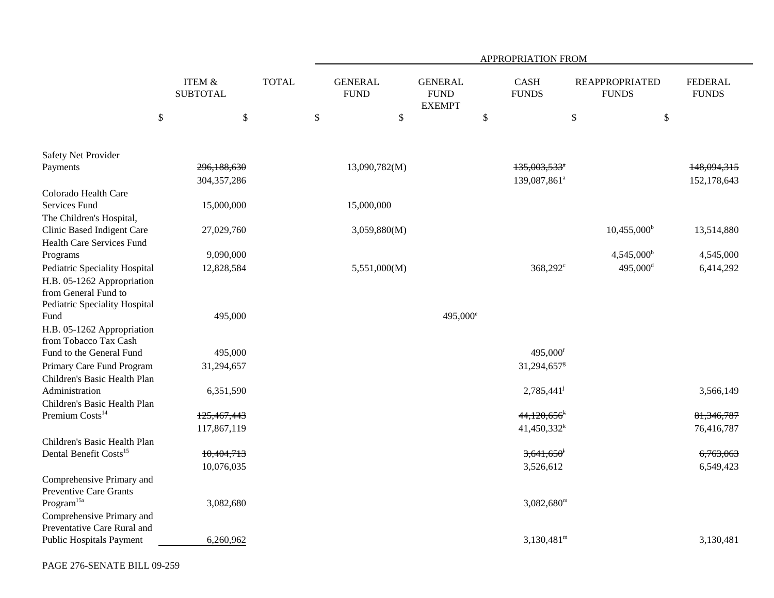|                                                             | <b>ITEM &amp;</b><br><b>SUBTOTAL</b> |              |                               |               |                                                |      | APPROPRIATION FROM          |                                       |                                |
|-------------------------------------------------------------|--------------------------------------|--------------|-------------------------------|---------------|------------------------------------------------|------|-----------------------------|---------------------------------------|--------------------------------|
|                                                             |                                      | <b>TOTAL</b> | <b>GENERAL</b><br><b>FUND</b> |               | <b>GENERAL</b><br><b>FUND</b><br><b>EXEMPT</b> |      | <b>CASH</b><br><b>FUNDS</b> | <b>REAPPROPRIATED</b><br><b>FUNDS</b> | <b>FEDERAL</b><br><b>FUNDS</b> |
| \$                                                          | \$                                   |              | \$                            | \$            |                                                | $\$$ |                             | \$<br>\$                              |                                |
|                                                             |                                      |              |                               |               |                                                |      |                             |                                       |                                |
| Safety Net Provider                                         |                                      |              |                               |               |                                                |      |                             |                                       |                                |
| Payments                                                    | 296,188,630                          |              |                               | 13,090,782(M) |                                                |      | $135,003,533$ <sup>*</sup>  |                                       | 148,094,315                    |
|                                                             | 304, 357, 286                        |              |                               |               |                                                |      | 139,087,861 <sup>a</sup>    |                                       | 152,178,643                    |
| Colorado Health Care                                        |                                      |              |                               |               |                                                |      |                             |                                       |                                |
| Services Fund                                               | 15,000,000                           |              |                               | 15,000,000    |                                                |      |                             |                                       |                                |
| The Children's Hospital,                                    |                                      |              |                               |               |                                                |      |                             |                                       |                                |
| Clinic Based Indigent Care                                  | 27,029,760                           |              |                               | 3,059,880(M)  |                                                |      |                             | $10,455,000^{\rm b}$                  | 13,514,880                     |
| <b>Health Care Services Fund</b>                            |                                      |              |                               |               |                                                |      |                             |                                       |                                |
| Programs                                                    | 9,090,000                            |              |                               |               |                                                |      |                             | $4,545,000^{\rm b}$                   | 4,545,000                      |
| Pediatric Speciality Hospital                               | 12,828,584                           |              |                               | 5,551,000(M)  |                                                |      | $368,292^c$                 | $495,000$ <sup>d</sup>                | 6,414,292                      |
| H.B. 05-1262 Appropriation                                  |                                      |              |                               |               |                                                |      |                             |                                       |                                |
| from General Fund to                                        |                                      |              |                               |               |                                                |      |                             |                                       |                                |
| Pediatric Speciality Hospital                               |                                      |              |                               |               |                                                |      |                             |                                       |                                |
| Fund                                                        | 495,000                              |              |                               |               | $495,000^{\circ}$                              |      |                             |                                       |                                |
| H.B. 05-1262 Appropriation                                  |                                      |              |                               |               |                                                |      |                             |                                       |                                |
| from Tobacco Tax Cash                                       |                                      |              |                               |               |                                                |      |                             |                                       |                                |
| Fund to the General Fund                                    | 495,000                              |              |                               |               |                                                |      | $495,000$ <sup>f</sup>      |                                       |                                |
| Primary Care Fund Program                                   | 31,294,657                           |              |                               |               |                                                |      | 31,294,657 <sup>g</sup>     |                                       |                                |
| Children's Basic Health Plan<br>Administration              |                                      |              |                               |               |                                                |      |                             |                                       |                                |
|                                                             | 6,351,590                            |              |                               |               |                                                |      | $2,785,441^{\circ}$         |                                       | 3,566,149                      |
| Children's Basic Health Plan<br>Premium Costs <sup>14</sup> | 125,467,443                          |              |                               |               |                                                |      | $44,120,656$ <sup>k</sup>   |                                       | 81, 346, 787                   |
|                                                             | 117,867,119                          |              |                               |               |                                                |      | $41,450,332^k$              |                                       | 76,416,787                     |
| Children's Basic Health Plan                                |                                      |              |                               |               |                                                |      |                             |                                       |                                |
| Dental Benefit Costs <sup>15</sup>                          | 10,404,713                           |              |                               |               |                                                |      | $3,641,650$ <sup>1</sup>    |                                       | 6,763,063                      |
|                                                             | 10,076,035                           |              |                               |               |                                                |      | 3,526,612                   |                                       | 6,549,423                      |
| Comprehensive Primary and                                   |                                      |              |                               |               |                                                |      |                             |                                       |                                |
| Preventive Care Grants                                      |                                      |              |                               |               |                                                |      |                             |                                       |                                |
| $\rm{Program}^{15a}$                                        | 3,082,680                            |              |                               |               |                                                |      | $3,082,680^{\rm m}$         |                                       |                                |
| Comprehensive Primary and                                   |                                      |              |                               |               |                                                |      |                             |                                       |                                |
| Preventative Care Rural and                                 |                                      |              |                               |               |                                                |      |                             |                                       |                                |
| Public Hospitals Payment                                    | 6,260,962                            |              |                               |               |                                                |      | $3,130,481^{\rm m}$         |                                       | 3,130,481                      |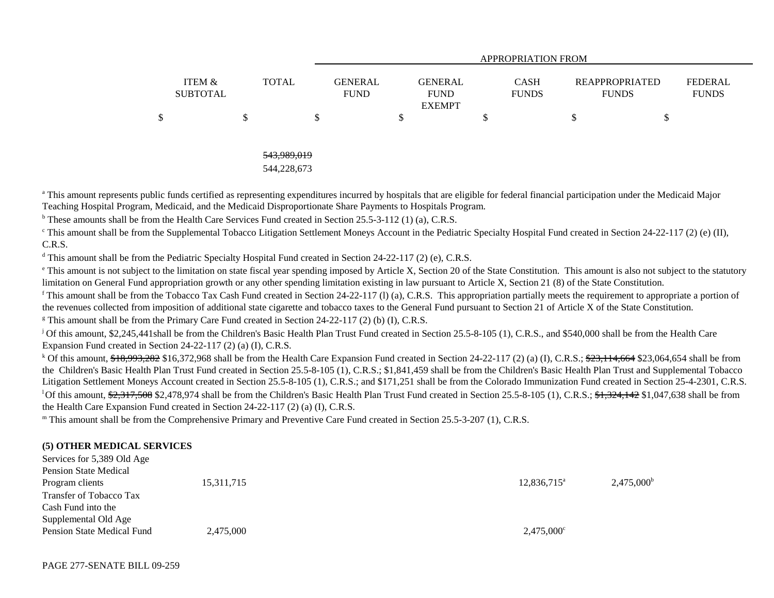|                           |              |                               |               | <b>APPROPRIATION FROM</b>   |                                       |                                |
|---------------------------|--------------|-------------------------------|---------------|-----------------------------|---------------------------------------|--------------------------------|
| ITEM &<br><b>SUBTOTAL</b> | <b>TOTAL</b> | <b>GENERAL</b><br><b>FUND</b> |               | <b>CASH</b><br><b>FUNDS</b> | <b>REAPPROPRIATED</b><br><b>FUNDS</b> | <b>FEDERAL</b><br><b>FUNDS</b> |
|                           |              | Jэ                            | <b>EXEMPT</b> | \$                          | S                                     |                                |
|                           |              |                               |               |                             |                                       |                                |

#### 543,989,019 544,228,673

<sup>a</sup> This amount represents public funds certified as representing expenditures incurred by hospitals that are eligible for federal financial participation under the Medicaid Major Teaching Hospital Program, Medicaid, and the Medicaid Disproportionate Share Payments to Hospitals Program.

 $b$  These amounts shall be from the Health Care Services Fund created in Section 25.5-3-112 (1) (a), C.R.S.

<sup>c</sup> This amount shall be from the Supplemental Tobacco Litigation Settlement Moneys Account in the Pediatric Specialty Hospital Fund created in Section 24-22-117 (2) (e) (II), C.R.S.

<sup>d</sup> This amount shall be from the Pediatric Specialty Hospital Fund created in Section 24-22-117 (2) (e), C.R.S.

<sup>e</sup> This amount is not subject to the limitation on state fiscal year spending imposed by Article X, Section 20 of the State Constitution. This amount is also not subject to the statutory limitation on General Fund appropriation growth or any other spending limitation existing in law pursuant to Article X, Section 21 (8) of the State Constitution.

<sup>f</sup> This amount shall be from the Tobacco Tax Cash Fund created in Section 24-22-117 (1) (a), C.R.S. This appropriation partially meets the requirement to appropriate a portion of the revenues collected from imposition of additional state cigarette and tobacco taxes to the General Fund pursuant to Section 21 of Article X of the State Constitution.

<sup>g</sup> This amount shall be from the Primary Care Fund created in Section 24-22-117 (2) (b) (I), C.R.S.

<sup>j</sup> Of this amount, \$2,245,441shall be from the Children's Basic Health Plan Trust Fund created in Section 25.5-8-105 (1), C.R.S., and \$540,000 shall be from the Health Care Expansion Fund created in Section 24-22-117 (2) (a) (I), C.R.S.

<sup>k</sup> Of this amount,  $\frac{18,993,282}{16,372,968}$  shall be from the Health Care Expansion Fund created in Section 24-22-117 (2) (a) (I), C.R.S.;  $\frac{623,114,664}{16,644}$  \$23,064,654 shall be from the Children's Basic Health Plan Trust Fund created in Section 25.5-8-105 (1), C.R.S.; \$1,841,459 shall be from the Children's Basic Health Plan Trust and Supplemental Tobacco Litigation Settlement Moneys Account created in Section 25.5-8-105 (1), C.R.S.; and \$171,251 shall be from the Colorado Immunization Fund created in Section 25-4-2301, C.R.S. <sup>1</sup>Of this amount,  $\frac{62,317,508}{2,478,974}$  shall be from the Children's Basic Health Plan Trust Fund created in Section 25.5-8-105 (1), C.R.S.;  $\frac{61,324,142}{2,4744}$  \$1,047,638 shall be from the Health Care Expansion Fund created in Section 24-22-117 (2) (a) (I), C.R.S.

m This amount shall be from the Comprehensive Primary and Preventive Care Fund created in Section 25.5-3-207 (1), C.R.S.

# **(5) OTHER MEDICAL SERVICES**

| Services for 5,389 Old Age   |            |                      |                     |
|------------------------------|------------|----------------------|---------------------|
| <b>Pension State Medical</b> |            |                      |                     |
| Program clients              | 15,311,715 | $12,836,715^{\circ}$ | $2,475,000^{\rm b}$ |
| Transfer of Tobacco Tax      |            |                      |                     |
| Cash Fund into the           |            |                      |                     |
| Supplemental Old Age         |            |                      |                     |
| Pension State Medical Fund   | 2,475,000  | $2,475,000^{\circ}$  |                     |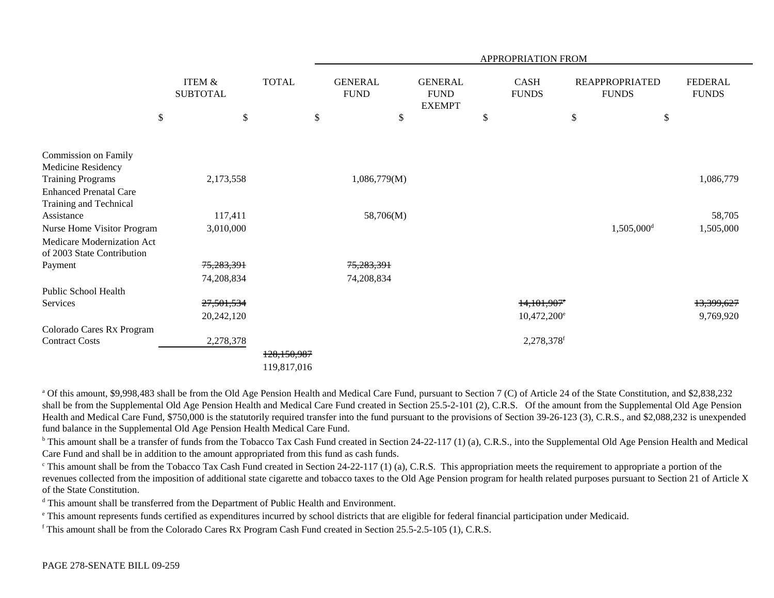|                                                          | APPROPRIATION FROM                   |              |    |                               |                                                |    |                           |                        |                       |            |
|----------------------------------------------------------|--------------------------------------|--------------|----|-------------------------------|------------------------------------------------|----|---------------------------|------------------------|-----------------------|------------|
|                                                          | <b>ITEM &amp;</b><br><b>SUBTOTAL</b> | <b>TOTAL</b> |    | <b>GENERAL</b><br><b>FUND</b> | <b>GENERAL</b><br><b>FUND</b><br><b>EXEMPT</b> |    | CASH<br><b>FUNDS</b>      | <b>FUNDS</b>           | <b>REAPPROPRIATED</b> |            |
| \$                                                       | \$                                   |              | \$ | \$                            |                                                | \$ |                           | \$                     | \$                    |            |
|                                                          |                                      |              |    |                               |                                                |    |                           |                        |                       |            |
| Commission on Family<br>Medicine Residency               |                                      |              |    |                               |                                                |    |                           |                        |                       |            |
| <b>Training Programs</b>                                 | 2,173,558                            |              |    | 1,086,779(M)                  |                                                |    |                           |                        |                       | 1,086,779  |
| <b>Enhanced Prenatal Care</b>                            |                                      |              |    |                               |                                                |    |                           |                        |                       |            |
| Training and Technical<br>Assistance                     | 117,411                              |              |    | 58,706(M)                     |                                                |    |                           |                        |                       | 58,705     |
| Nurse Home Visitor Program                               | 3,010,000                            |              |    |                               |                                                |    |                           | 1,505,000 <sup>d</sup> |                       | 1,505,000  |
| Medicare Modernization Act<br>of 2003 State Contribution |                                      |              |    |                               |                                                |    |                           |                        |                       |            |
| Payment                                                  | 75,283,391                           |              |    | 75,283,391                    |                                                |    |                           |                        |                       |            |
|                                                          | 74,208,834                           |              |    | 74,208,834                    |                                                |    |                           |                        |                       |            |
| Public School Health                                     |                                      |              |    |                               |                                                |    |                           |                        |                       |            |
| Services                                                 | 27,501,534                           |              |    |                               |                                                |    | $14,101,907$ <sup>e</sup> |                        |                       | 13,399,627 |
|                                                          | 20,242,120                           |              |    |                               |                                                |    | $10,472,200^e$            |                        |                       | 9,769,920  |
| Colorado Cares Rx Program                                |                                      |              |    |                               |                                                |    |                           |                        |                       |            |
| <b>Contract Costs</b>                                    | 2,278,378                            |              |    |                               |                                                |    | 2,278,378f                |                        |                       |            |
|                                                          |                                      | 128,150,987  |    |                               |                                                |    |                           |                        |                       |            |
|                                                          |                                      | 119,817,016  |    |                               |                                                |    |                           |                        |                       |            |

<sup>a</sup> Of this amount, \$9,998,483 shall be from the Old Age Pension Health and Medical Care Fund, pursuant to Section 7 (C) of Article 24 of the State Constitution, and \$2,838,232 shall be from the Supplemental Old Age Pension Health and Medical Care Fund created in Section 25.5-2-101 (2), C.R.S. Of the amount from the Supplemental Old Age Pension Health and Medical Care Fund, \$750,000 is the statutorily required transfer into the fund pursuant to the provisions of Section 39-26-123 (3), C.R.S., and \$2,088,232 is unexpended fund balance in the Supplemental Old Age Pension Health Medical Care Fund.

<sup>b</sup> This amount shall be a transfer of funds from the Tobacco Tax Cash Fund created in Section 24-22-117 (1) (a), C.R.S., into the Supplemental Old Age Pension Health and Medical Care Fund and shall be in addition to the amount appropriated from this fund as cash funds.

<sup>c</sup> This amount shall be from the Tobacco Tax Cash Fund created in Section 24-22-117 (1) (a), C.R.S. This appropriation meets the requirement to appropriate a portion of the revenues collected from the imposition of additional state cigarette and tobacco taxes to the Old Age Pension program for health related purposes pursuant to Section 21 of Article X of the State Constitution.

d This amount shall be transferred from the Department of Public Health and Environment.

e This amount represents funds certified as expenditures incurred by school districts that are eligible for federal financial participation under Medicaid.

f This amount shall be from the Colorado Cares RX Program Cash Fund created in Section 25.5-2.5-105 (1), C.R.S.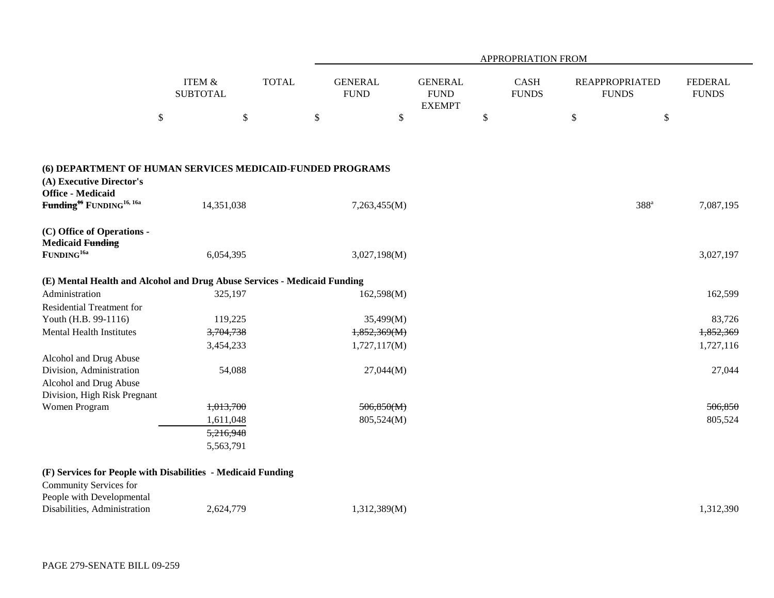|                                                                                                                   |                                      |              | APPROPRIATION FROM            |                                                |                             |    |                                       |                                |  |  |  |
|-------------------------------------------------------------------------------------------------------------------|--------------------------------------|--------------|-------------------------------|------------------------------------------------|-----------------------------|----|---------------------------------------|--------------------------------|--|--|--|
|                                                                                                                   | <b>ITEM &amp;</b><br><b>SUBTOTAL</b> | <b>TOTAL</b> | <b>GENERAL</b><br><b>FUND</b> | <b>GENERAL</b><br><b>FUND</b><br><b>EXEMPT</b> | <b>CASH</b><br><b>FUNDS</b> |    | <b>REAPPROPRIATED</b><br><b>FUNDS</b> | <b>FEDERAL</b><br><b>FUNDS</b> |  |  |  |
|                                                                                                                   | $\$$                                 | $\$$         | $\mathbb{S}$<br>\$            |                                                | $\mathbb{S}$                | \$ | $\$$                                  |                                |  |  |  |
| (6) DEPARTMENT OF HUMAN SERVICES MEDICAID-FUNDED PROGRAMS<br>(A) Executive Director's<br><b>Office - Medicaid</b> |                                      |              |                               |                                                |                             |    |                                       |                                |  |  |  |
| Funding <sup>16</sup> FUNDING <sup>16, 16a</sup>                                                                  | 14,351,038                           |              | 7,263,455(M)                  |                                                |                             |    | $388^a$                               | 7,087,195                      |  |  |  |
| (C) Office of Operations -<br><b>Medicaid Funding</b><br>$\mbox{FUNDING}^{\mbox{\scriptsize 16a}}$                | 6,054,395                            |              | 3,027,198(M)                  |                                                |                             |    |                                       | 3,027,197                      |  |  |  |
| (E) Mental Health and Alcohol and Drug Abuse Services - Medicaid Funding                                          |                                      |              |                               |                                                |                             |    |                                       |                                |  |  |  |
| Administration                                                                                                    | 325,197                              |              | 162,598(M)                    |                                                |                             |    |                                       | 162,599                        |  |  |  |
| <b>Residential Treatment for</b>                                                                                  |                                      |              |                               |                                                |                             |    |                                       |                                |  |  |  |
| Youth (H.B. 99-1116)                                                                                              | 119,225                              |              | 35,499(M)                     |                                                |                             |    |                                       | 83,726                         |  |  |  |
| <b>Mental Health Institutes</b>                                                                                   | 3,704,738                            |              | 1,852,369(M)                  |                                                |                             |    |                                       | 1,852,369                      |  |  |  |
|                                                                                                                   | 3,454,233                            |              | 1,727,117(M)                  |                                                |                             |    |                                       | 1,727,116                      |  |  |  |
| Alcohol and Drug Abuse                                                                                            |                                      |              |                               |                                                |                             |    |                                       |                                |  |  |  |
| Division, Administration                                                                                          | 54,088                               |              | 27,044(M)                     |                                                |                             |    |                                       | 27,044                         |  |  |  |
| Alcohol and Drug Abuse<br>Division, High Risk Pregnant                                                            |                                      |              |                               |                                                |                             |    |                                       |                                |  |  |  |
| Women Program                                                                                                     | 1,013,700                            |              | 506,850(M)                    |                                                |                             |    |                                       | 506,850                        |  |  |  |
|                                                                                                                   | 1,611,048                            |              | 805,524(M)                    |                                                |                             |    |                                       | 805,524                        |  |  |  |
|                                                                                                                   | 5,216,948                            |              |                               |                                                |                             |    |                                       |                                |  |  |  |
|                                                                                                                   | 5,563,791                            |              |                               |                                                |                             |    |                                       |                                |  |  |  |

| Community Services for       |           |              |          |
|------------------------------|-----------|--------------|----------|
| People with Developmental    |           |              |          |
| Disabilities, Administration | 2,624,779 | (312,389(M.) | .312,390 |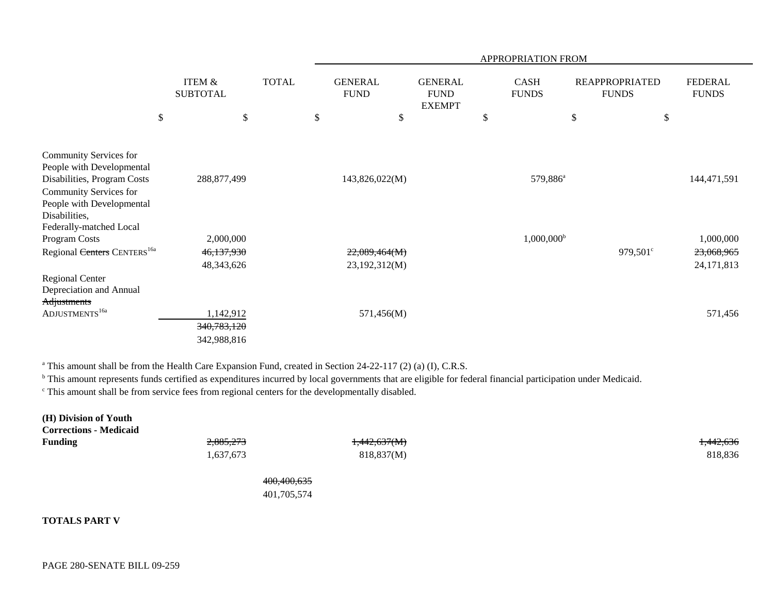|                                                                                                                                                            |                           |                                       |              |                                |                                                | APPROPRIATION FROM          |                                       |                                       |
|------------------------------------------------------------------------------------------------------------------------------------------------------------|---------------------------|---------------------------------------|--------------|--------------------------------|------------------------------------------------|-----------------------------|---------------------------------------|---------------------------------------|
|                                                                                                                                                            |                           | <b>ITEM &amp;</b><br><b>SUBTOTAL</b>  | <b>TOTAL</b> | <b>GENERAL</b><br><b>FUND</b>  | <b>GENERAL</b><br><b>FUND</b><br><b>EXEMPT</b> | <b>CASH</b><br><b>FUNDS</b> | <b>REAPPROPRIATED</b><br><b>FUNDS</b> | <b>FEDERAL</b><br><b>FUNDS</b>        |
|                                                                                                                                                            | $\boldsymbol{\mathsf{S}}$ | $\boldsymbol{\mathsf{S}}$             |              | \$<br>\$                       |                                                | \$                          | \$                                    | \$                                    |
| Community Services for<br>People with Developmental<br>Disabilities, Program Costs<br>Community Services for<br>People with Developmental<br>Disabilities, |                           | 288,877,499                           |              | 143,826,022(M)                 |                                                | 579,886 <sup>a</sup>        |                                       | 144,471,591                           |
| Federally-matched Local<br>Program Costs<br>Regional Centers CENTERS <sup>16a</sup>                                                                        |                           | 2,000,000<br>46,137,930<br>48,343,626 |              | 22,089,464(M)<br>23,192,312(M) |                                                | $1,000,000^{\rm b}$         | 979,501 <sup>c</sup>                  | 1,000,000<br>23,068,965<br>24,171,813 |
| <b>Regional Center</b><br>Depreciation and Annual<br>Adjustments<br>ADJUSTMENTS <sup>16a</sup>                                                             |                           | 1,142,912<br>340,783,120              |              | 571,456(M)                     |                                                |                             |                                       | 571,456                               |
|                                                                                                                                                            |                           | 342,988,816                           |              |                                |                                                |                             |                                       |                                       |

<sup>a</sup> This amount shall be from the Health Care Expansion Fund, created in Section 24-22-117 (2) (a) (I), C.R.S.

<sup>b</sup> This amount represents funds certified as expenditures incurred by local governments that are eligible for federal financial participation under Medicaid.

c This amount shall be from service fees from regional centers for the developmentally disabled.

| (H) Division of Youth<br><b>Corrections - Medicaid</b> |           |                         |                      |
|--------------------------------------------------------|-----------|-------------------------|----------------------|
| <b>Funding</b>                                         | 2,885,273 | <del>1,442,637(M)</del> | <del>1,442,636</del> |
|                                                        | 1,637,673 | 818,837(M)              | 818,836              |

400,400,635 401,705,574

### **TOTALS PART V**